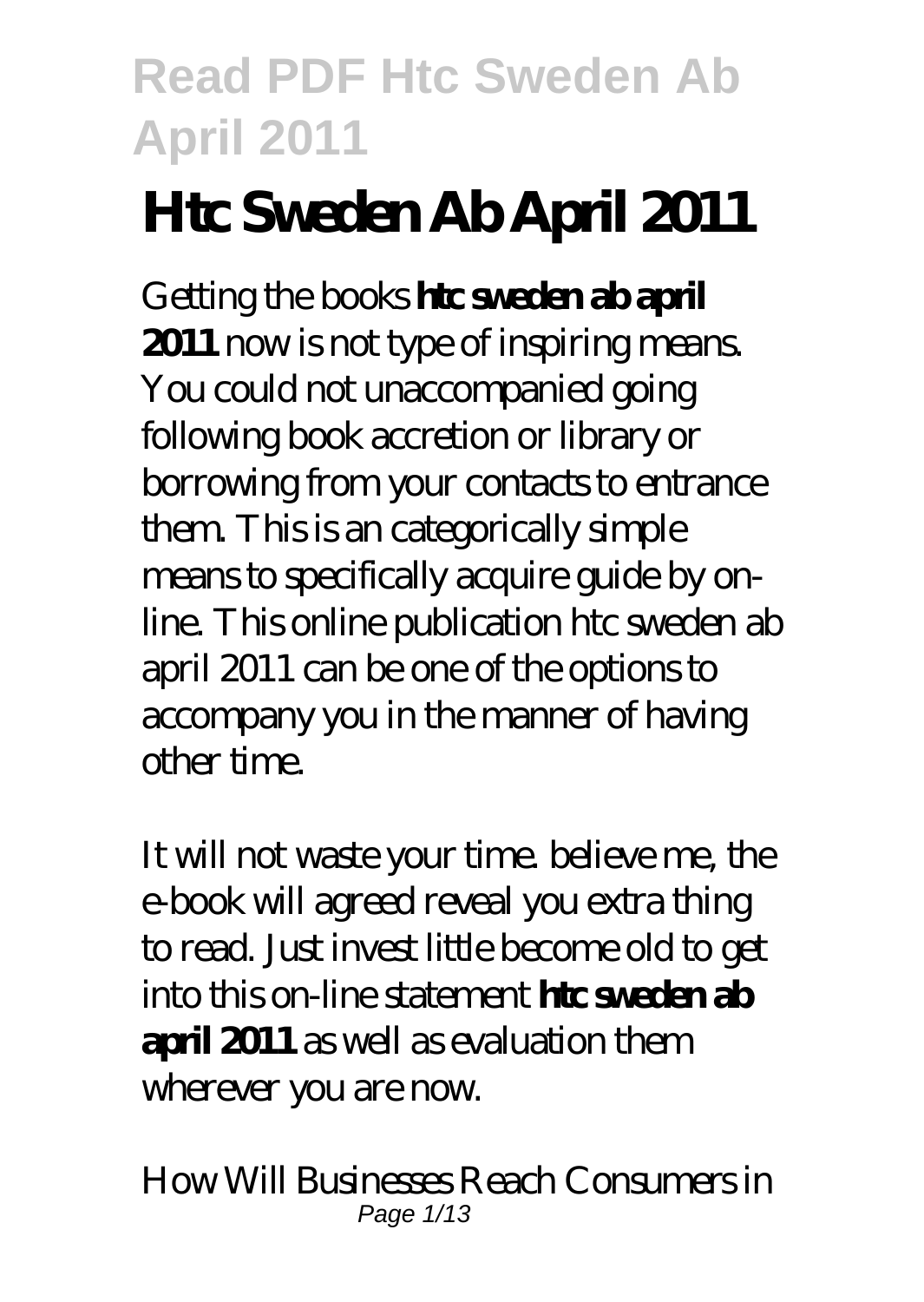# **Htc Sweden Ab April 2011**

Getting the books **htc sweden ab april 2011** now is not type of inspiring means. You could not unaccompanied going following book accretion or library or borrowing from your contacts to entrance them. This is an categorically simple means to specifically acquire guide by online. This online publication htc sweden ab april 2011 can be one of the options to accompany you in the manner of having other time.

It will not waste your time. believe me, the e-book will agreed reveal you extra thing to read. Just invest little become old to get into this on-line statement **htc sweden ab april 2011** as well as evaluation them wherever you are now.

*How Will Businesses Reach Consumers in* Page 1/13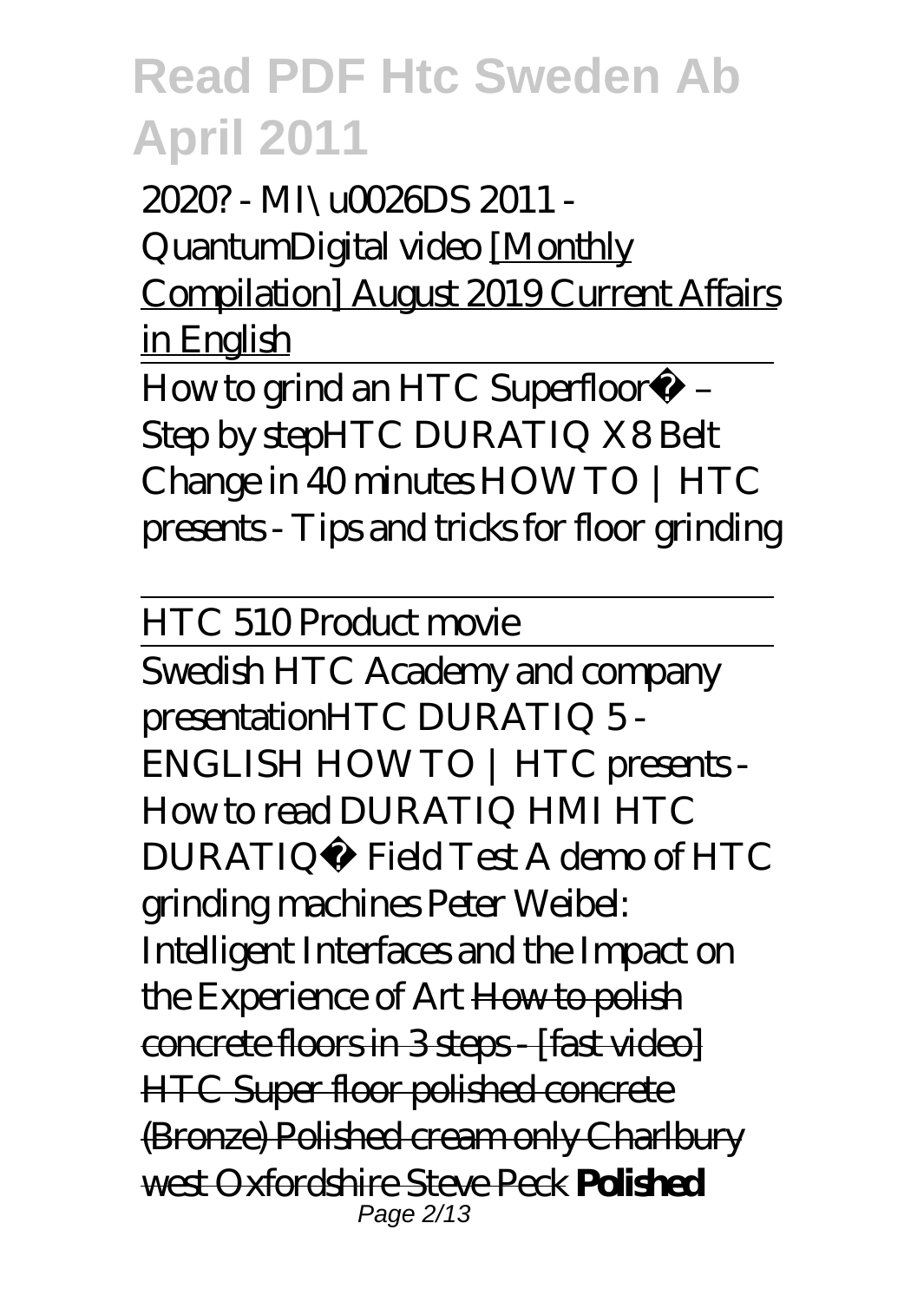*2020? - MI\u0026DS 2011 - QuantumDigital video* [Monthly Compilation] August 2019 Current Affairs in English

How to grind an HTC Superfloor™ – Step by step*HTC DURATIQ X8 Belt Change in 40 minutes HOW TO | HTC presents - Tips and tricks for floor grinding*

HTC 510 Product movie

Swedish HTC Academy and company presentation*HTC DURATIQ 5 - ENGLISH HOW TO | HTC presents - How to read DURATIQ HMI HTC DURATIQ™ Field Test A demo of HTC grinding machines Peter Weibel: Intelligent Interfaces and the Impact on the Experience of Art* How to polish concrete floors in 3 steps - [fast video] HTC Super floor polished concrete (Bronze) Polished cream only Charlbury west Oxfordshire Steve Peck **Polished** Page 2/13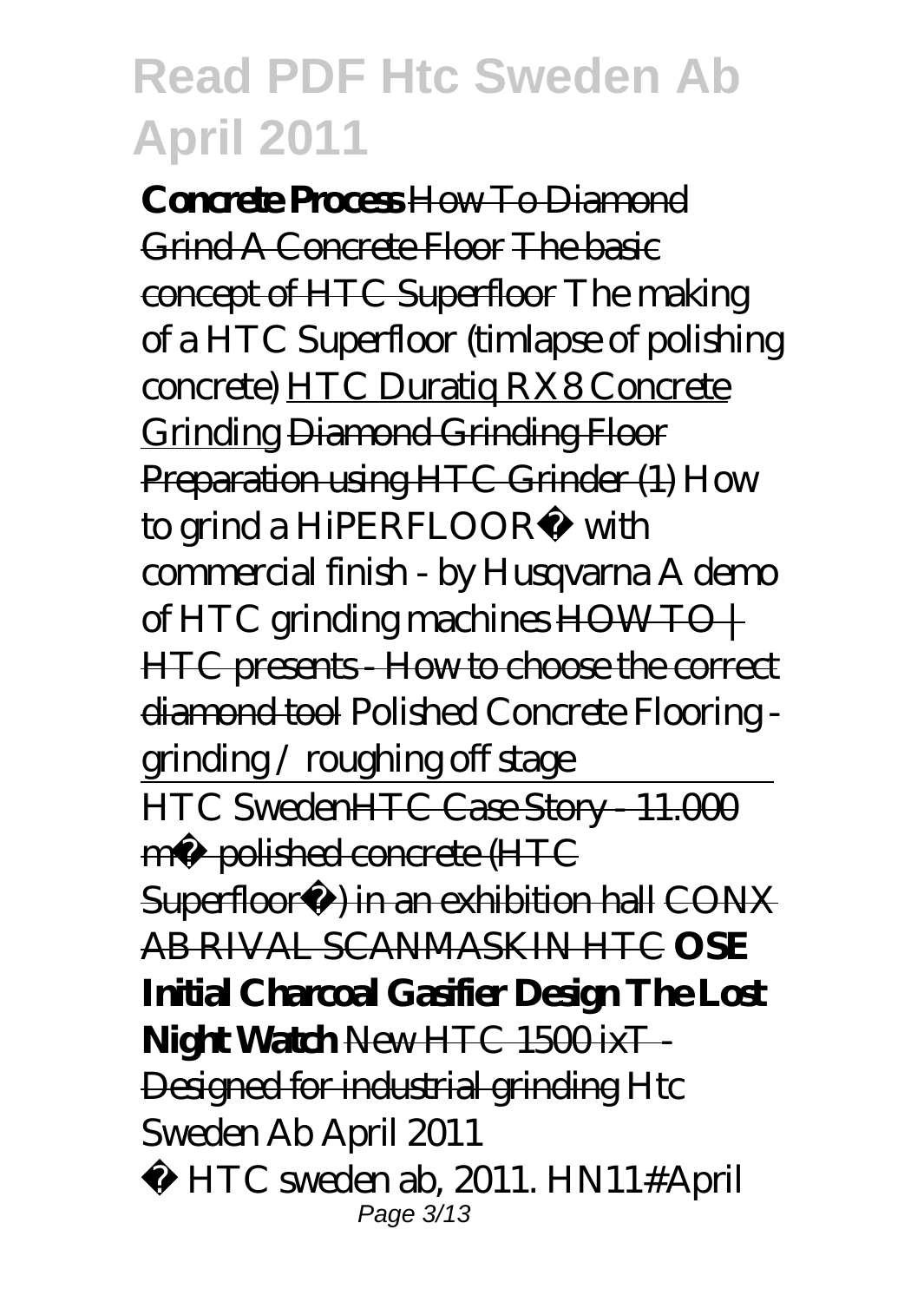**Concrete Process** How To Diamond Grind A Concrete Floor The basic concept of HTC Superfloor The making of a HTC Superfloor (timlapse of polishing concrete) HTC Duratiq RX8 Concrete Grinding Diamond Grinding Floor Preparation using HTC Grinder (1) *How to grind a HiPERFLOOR® with commercial finish - by Husqvarna A demo of HTC grinding machines* HOW TO | HTC presents - How to choose the correct diamond tool Polished Concrete Flooring grinding / roughing off stage HTC SwedenHT<del>C Case Story - 11.000</del> m² polished concrete (HTC Superfloor<sup>™</sup>) in an exhibition hall CONX AB RIVAL SCANMASKIN HTC **OSE Initial Charcoal Gasifier Design The Lost** Night Watch New HTC 1500 ixT-Designed for industrial grinding *Htc Sweden Ab April 2011* © HTC sweden ab, 2011. HN11#April

Page 3/13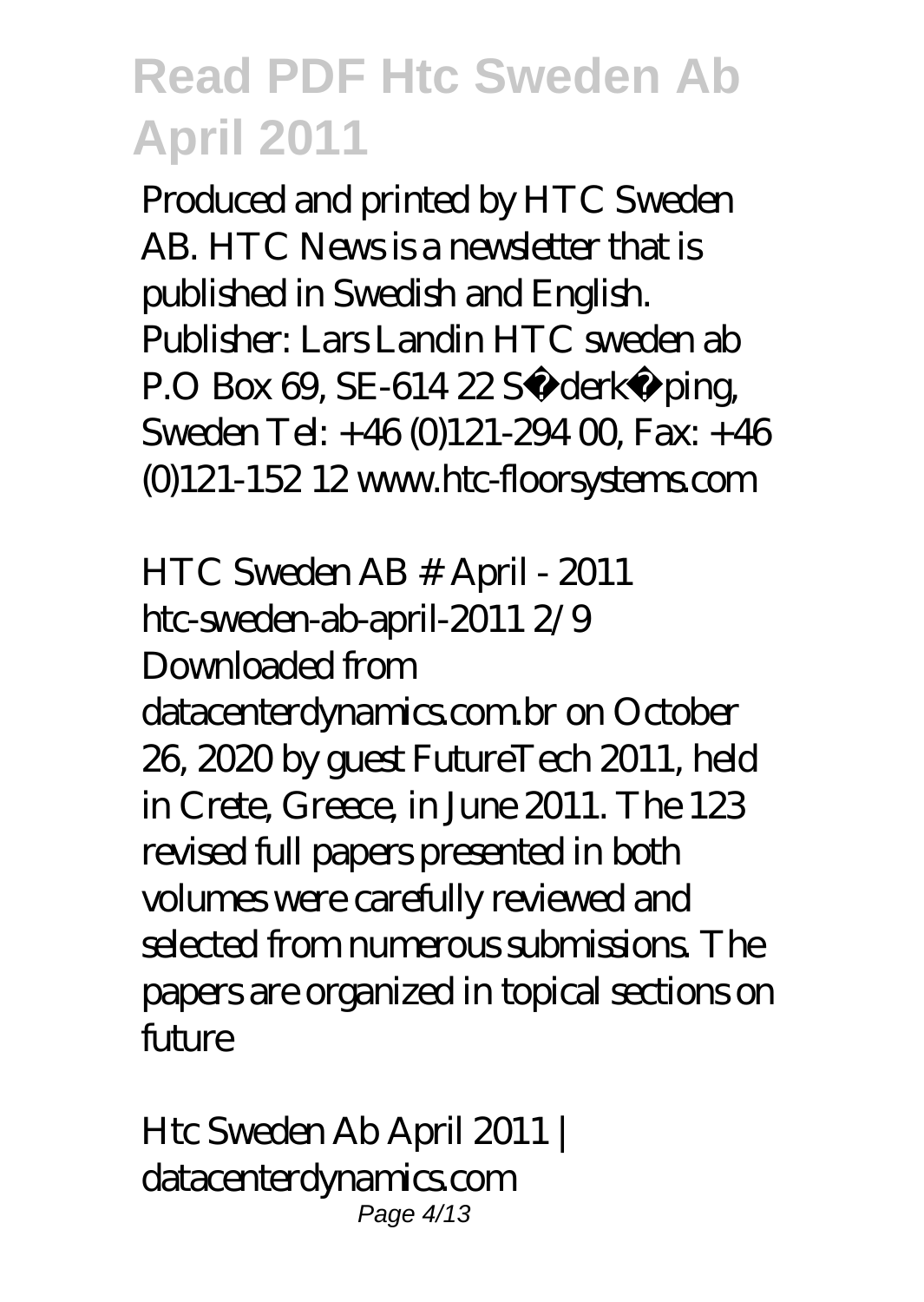Produced and printed by HTC Sweden AB. HTC News is a newsletter that is published in Swedish and English. Publisher: Lars Landin HTC sweden ab P.O Box 69, SE-614 22 Söderköping, Sweden Tel:  $+46(0)121-29400$  Fax:  $+46$ (0)121-152 12 www.htc-floorsystems.com

*HTC Sweden AB # April - 2011* htc-sweden-ab-april-2011 2/9 Downloaded from datacenterdynamics.com.br on October 26, 2020 by guest FutureTech 2011, held in Crete, Greece, in June 2011. The 123 revised full papers presented in both volumes were carefully reviewed and selected from numerous submissions. The papers are organized in topical sections on  $f$ <sub>u</sub> $m$ 

*Htc Sweden Ab April 2011 | datacenterdynamics.com* Page 4/13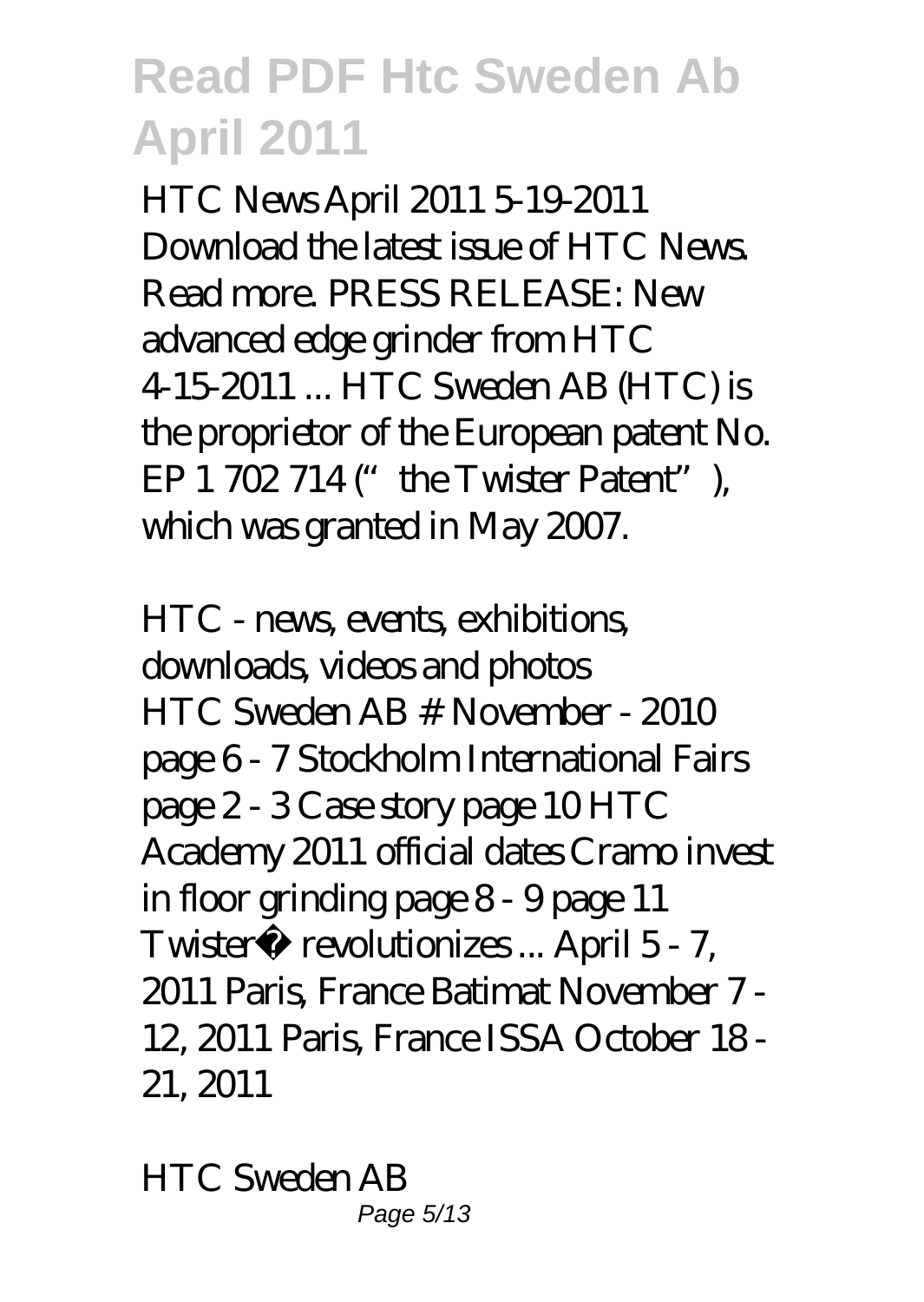HTC News April 2011 5-19-2011 Download the latest issue of HTC News. Read more. PRESS RELEASE: New advanced edge grinder from HTC 4-15-2011 ... HTC Sweden AB (HTC) is the proprietor of the European patent No. EP  $1702714$  ("the Twister Patent"), which was granted in May 2007.

*HTC - news, events, exhibitions, downloads, videos and photos* HTC Sweden AB # November - 2010 page 6 - 7 Stockholm International Fairs page 2 - 3 Case story page 10 HTC Academy 2011 official dates Cramo invest in floor grinding page 8 - 9 page 11 Twister™ revolutionizes ... April 5 - 7, 2011 Paris, France Batimat November 7 - 12, 2011 Paris, France ISSA October 18 - 21, 2011

*HTC Sweden AB* Page 5/13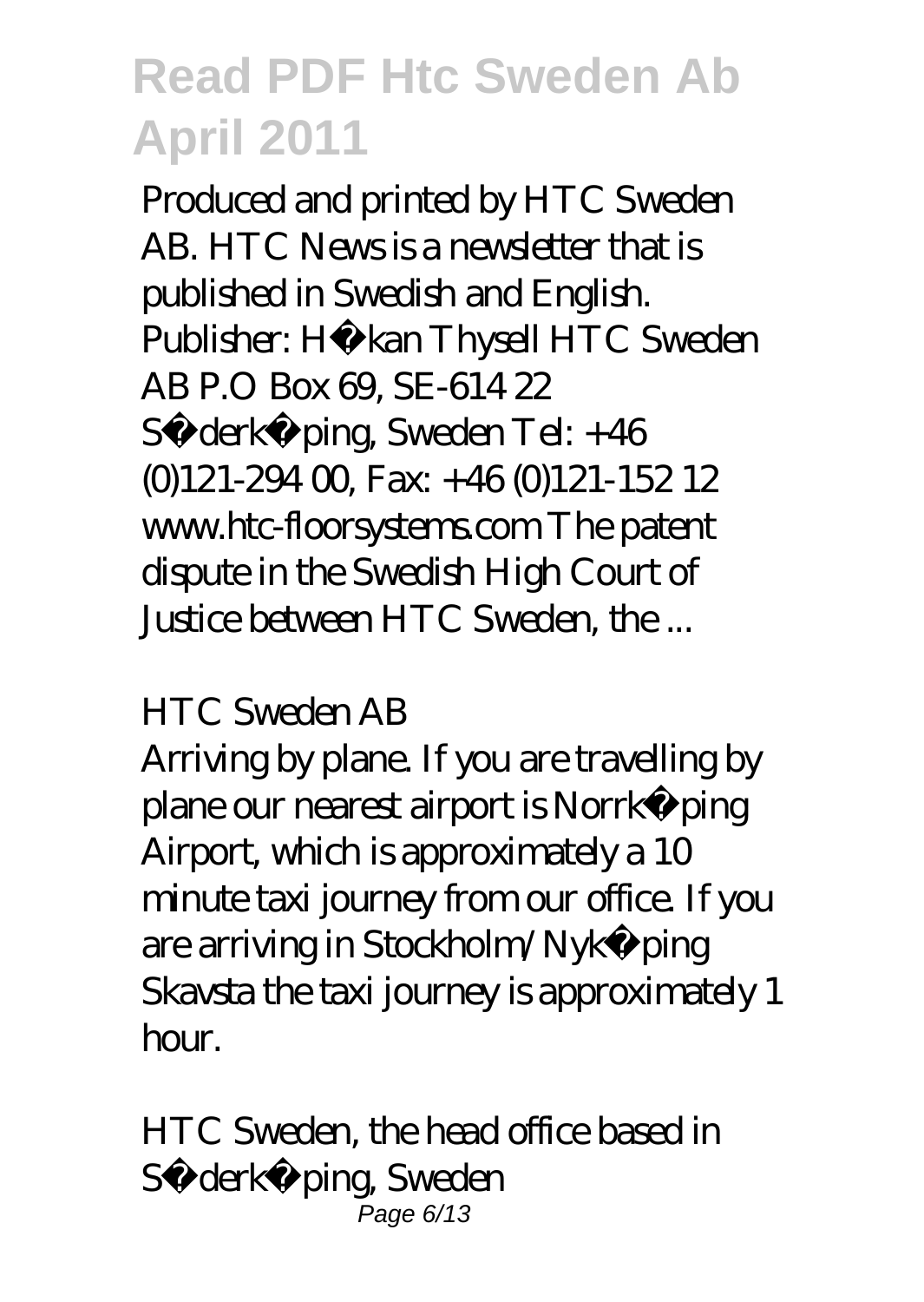Produced and printed by HTC Sweden AB. HTC News is a newsletter that is published in Swedish and English. Publisher: Hå kan Thysell HTC Sweden AB P.O Box 69, SE-614 22 Sö derköping, Sweden Tel: +46  $(0)121-29400$  Fax:  $+46(0)121-15212$ www.htc-floorsystems.com The patent dispute in the Swedish High Court of Justice between HTC Sweden, the ...

#### *HTC Sweden AB*

Arriving by plane. If you are travelling by plane our nearest airport is Norrköping Airport, which is approximately a 10 minute taxi journey from our office. If you are arriving in Stockholm/Nykö ping Skavsta the taxi journey is approximately 1 hour.

*HTC Sweden, the head office based in Söderköping, Sweden* Page 6/13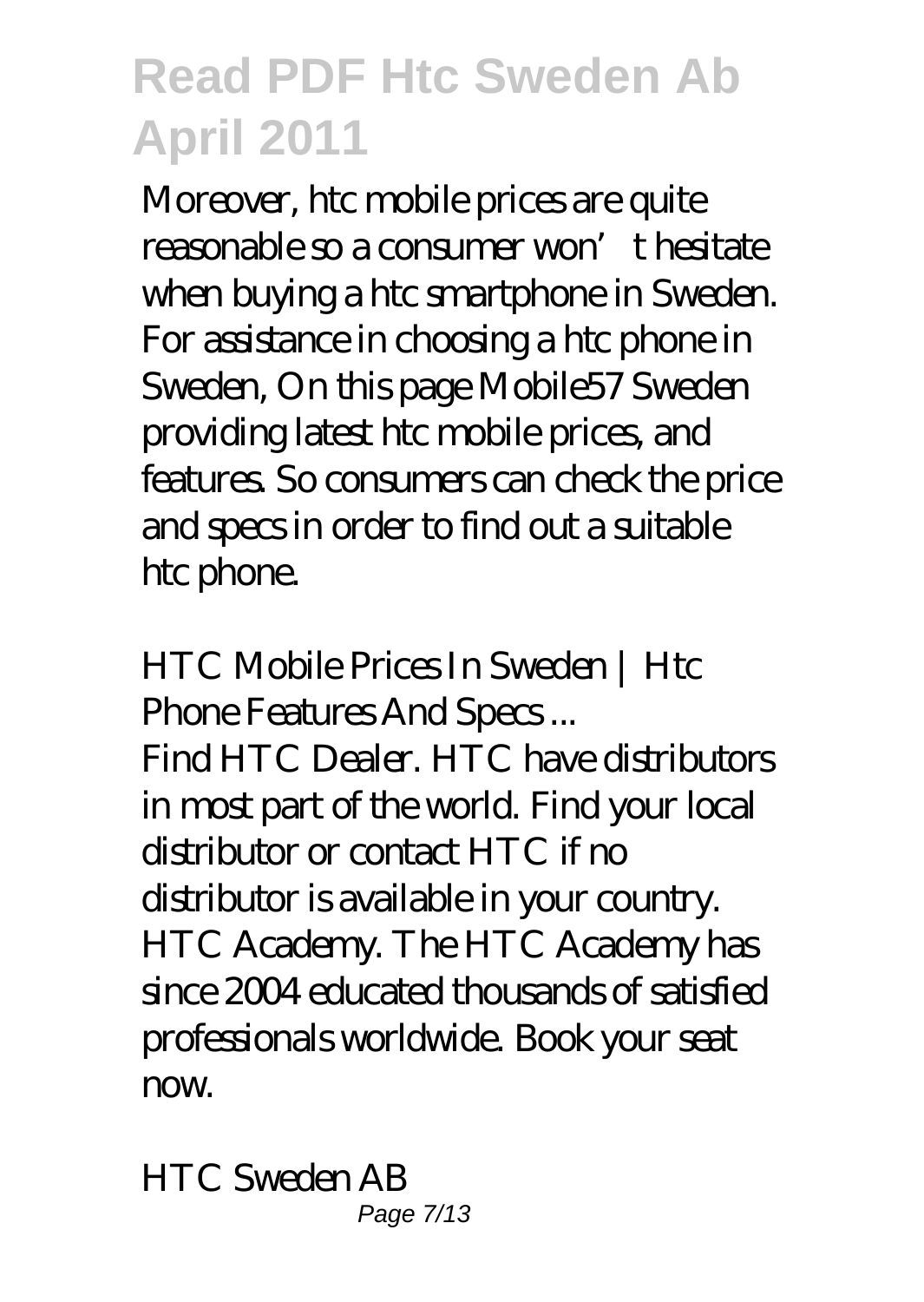Moreover, htc mobile prices are quite reasonable so a consumer won't hesitate when buying a htc smartphone in Sweden. For assistance in choosing a htc phone in Sweden, On this page Mobile57 Sweden providing latest htc mobile prices, and features. So consumers can check the price and specs in order to find out a suitable htc phone.

*HTC Mobile Prices In Sweden | Htc Phone Features And Specs ...* Find HTC Dealer. HTC have distributors in most part of the world. Find your local distributor or contact HTC if no distributor is available in your country. HTC Academy. The HTC Academy has since 2004 educated thousands of satisfied professionals worldwide. Book your seat  $n x$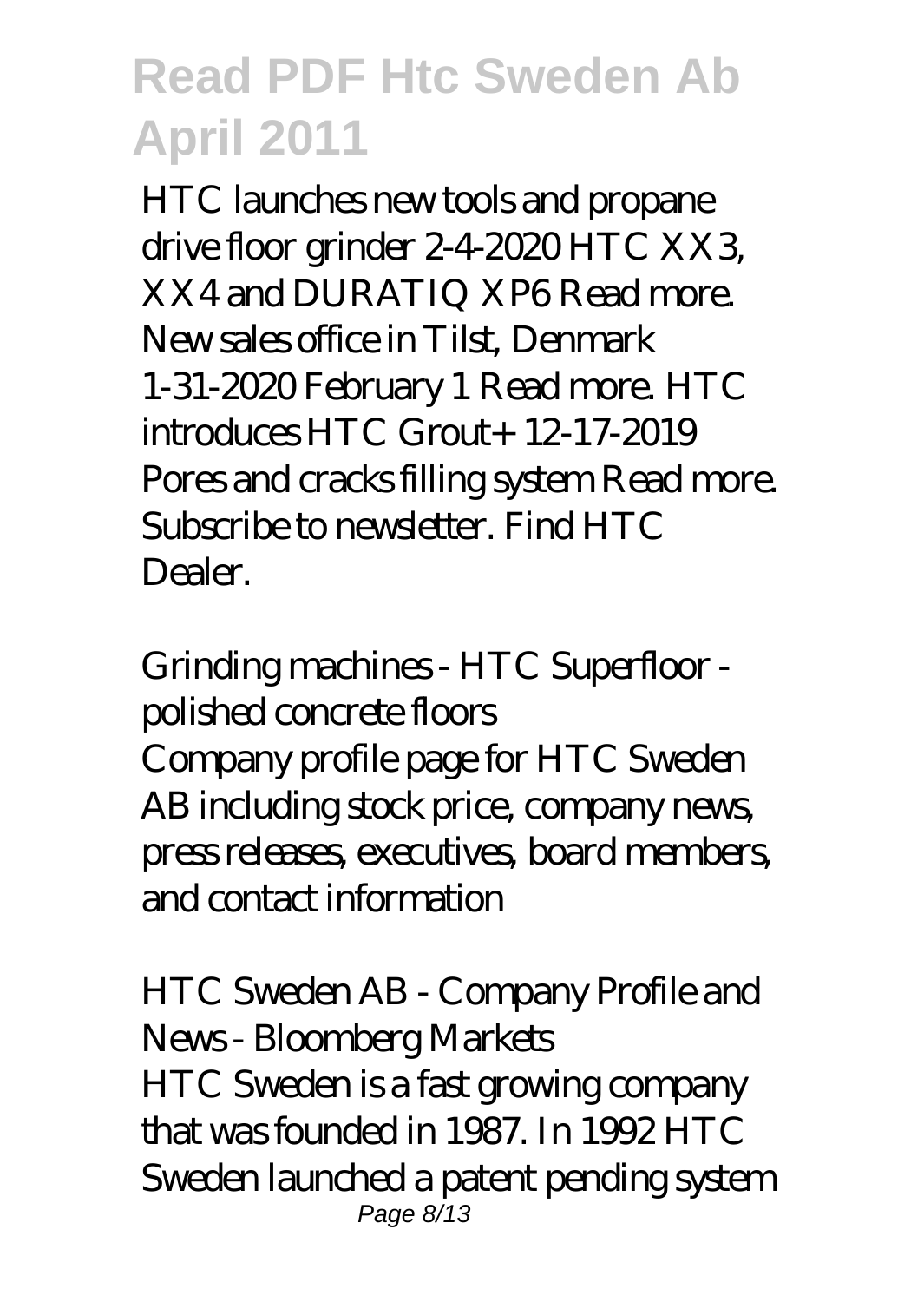HTC launches new tools and propane drive floor grinder 2-4-2020 HTC XX3, XX4 and DURATIQ XP6 Read more. New sales office in Tilst, Denmark 1-31-2020 February 1 Read more. HTC introduces HTC Grout+ 12-17-2019 Pores and cracks filling system Read more. Subscribe to newsletter. Find HTC **Dealer** 

### *Grinding machines - HTC Superfloor polished concrete floors*

Company profile page for HTC Sweden AB including stock price, company news, press releases, executives, board members, and contact information

*HTC Sweden AB - Company Profile and News - Bloomberg Markets* HTC Sweden is a fast growing company that was founded in 1987. In 1992 HTC Sweden launched a patent pending system Page 8/13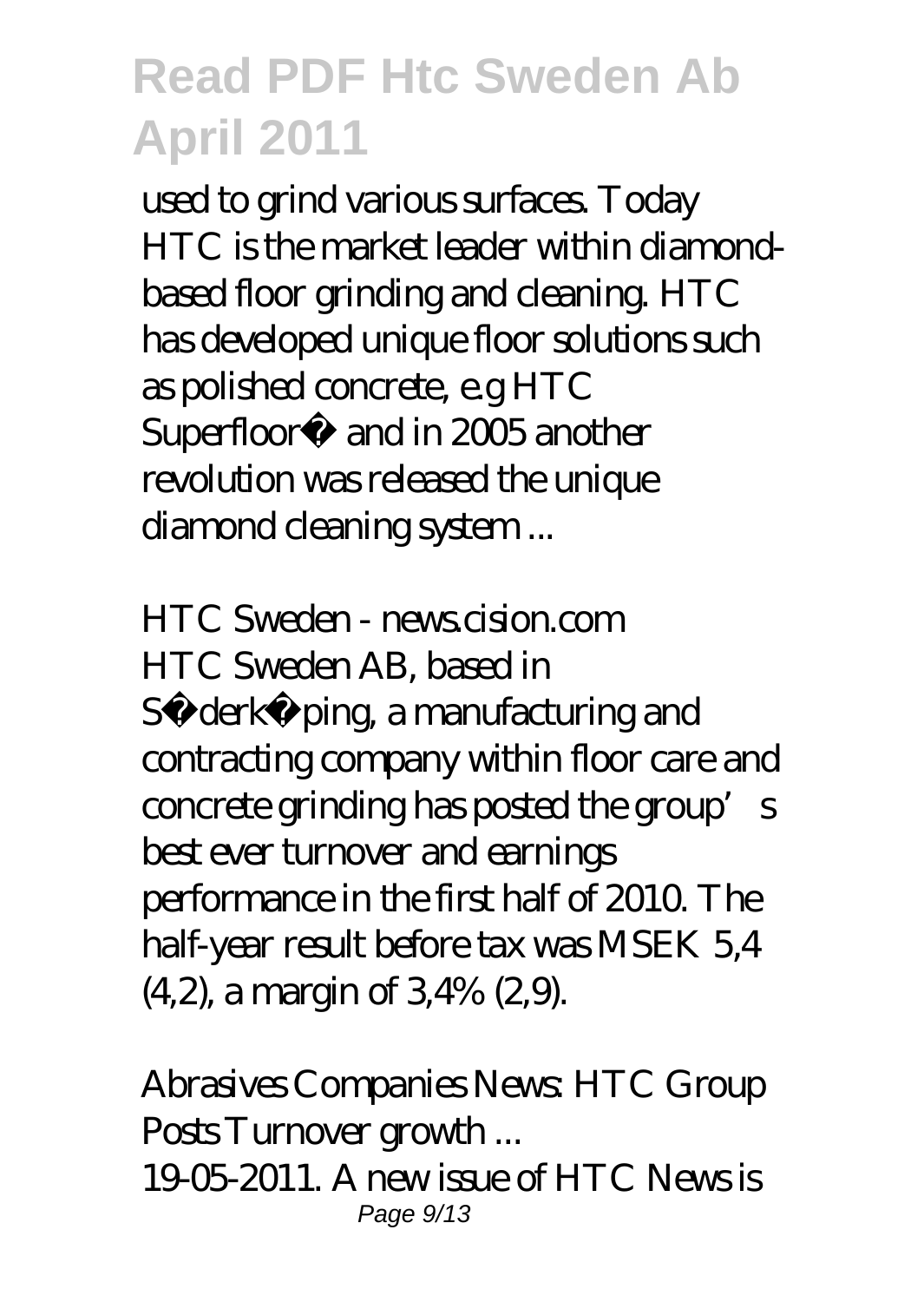used to grind various surfaces. Today HTC is the market leader within diamondbased floor grinding and cleaning. HTC has developed unique floor solutions such as polished concrete, e.g HTC Superfloor<sup>™</sup> and in 2005 another revolution was released the unique diamond deaning system...

*HTC Sweden - news.cision.com* HTC Sweden AB, based in Sö derköping, a manufacturing and contracting company within floor care and concrete grinding has posted the group's best ever turnover and earnings performance in the first half of 2010. The half-year result before tax was MSEK 5,4  $(4,2)$ , a margin of  $3,4\%$   $(2,9)$ .

*Abrasives Companies News: HTC Group Posts Turnover growth ...*

19-05-2011. A new issue of HTC News is Page 9/13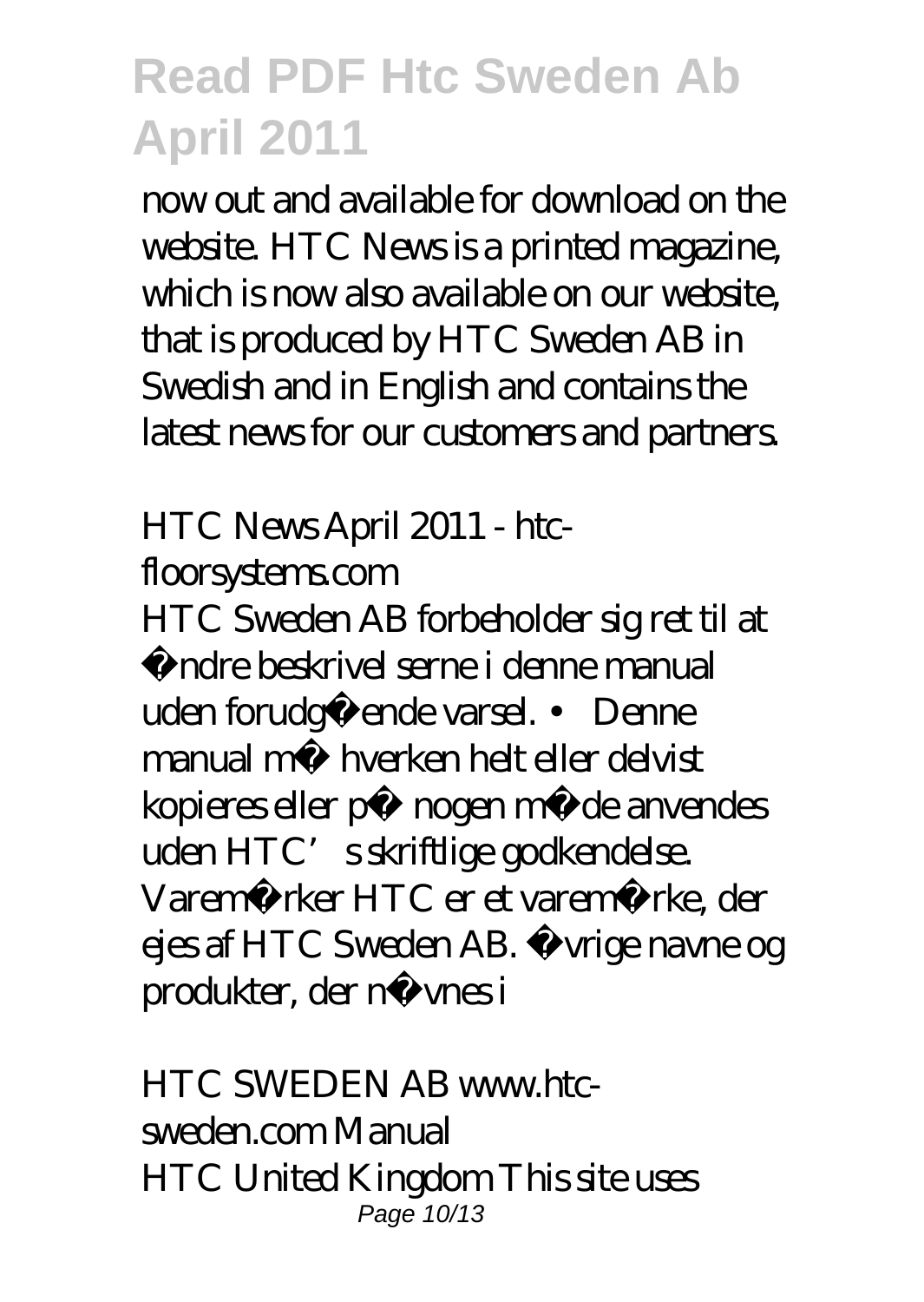now out and available for download on the website. HTC News is a printed magazine, which is now also available on our website, that is produced by HTC Sweden AB in Swedish and in English and contains the latest news for our customers and partners.

### *HTC News April 2011 - htcfloorsystems.com*

HTC Sweden AB forbeholder sig ret til at ændre beskrivel serne i denne manual uden forudgående varsel. • Denne manual må hverken helt eller delvist kopieres eller på nogen måde anvendes uden HTC's skriftlige godkendelse. Varemærker HTC er et varemærke, der ejes af HTC Sweden AB. Øvrige navne og produkter, der nævnes i

*HTC SWEDEN AB www.htcsweden.com Manual* HTC United Kingdom This site uses Page 10/13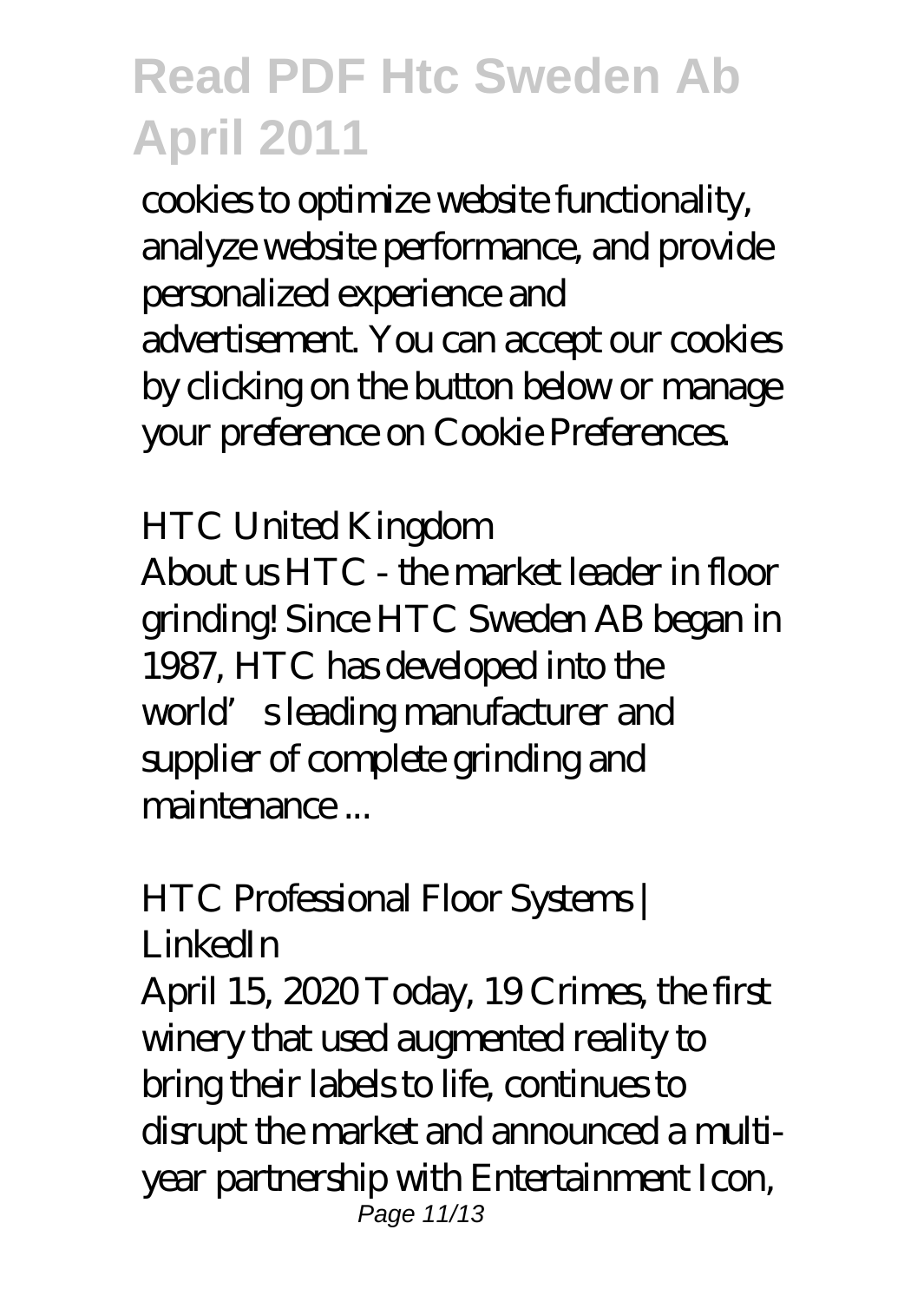cookies to optimize website functionality, analyze website performance, and provide personalized experience and advertisement. You can accept our cookies by clicking on the button below or manage your preference on Cookie Preferences.

### *HTC United Kingdom*

About us HTC - the market leader in floor grinding! Since HTC Sweden AB began in 1987, HTC has developed into the world's leading manufacturer and supplier of complete grinding and maintenance ...

### *HTC Professional Floor Systems | LinkedIn*

April 15, 2020 Today, 19 Crimes, the first winery that used augmented reality to bring their labels to life, continues to disrupt the market and announced a multiyear partnership with Entertainment Icon, Page 11/13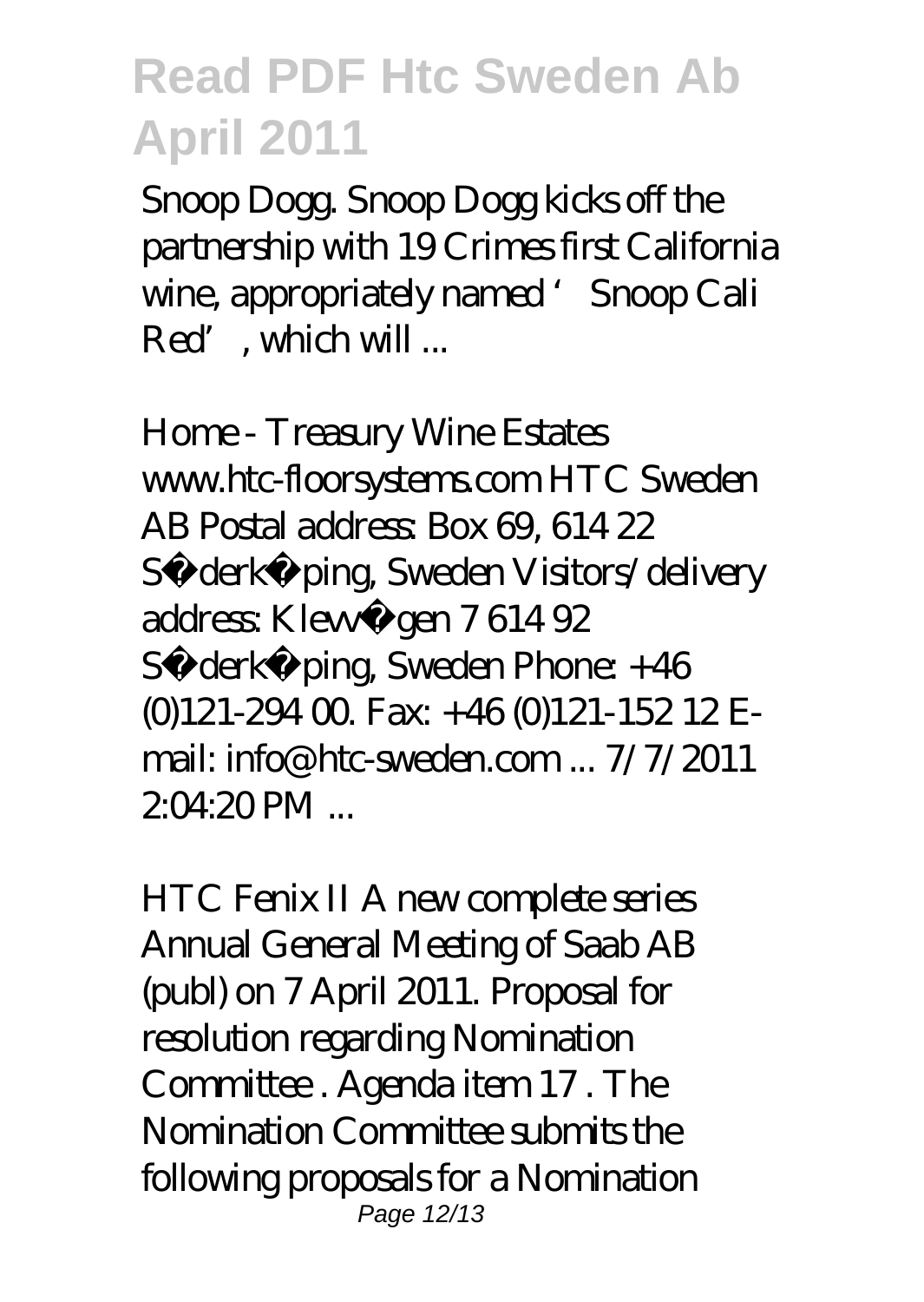Snoop Dogg. Snoop Dogg kicks off the partnership with 19 Crimes first California wine, appropriately named 'Snoop Cali Red', which will ...

*Home - Treasury Wine Estates* www.htc-floorsystems.com HTC Sweden AB Postal address: Box 69, 614 22 Sö derköping, Sweden Visitors/delivery address: Klevvägen 7614 92 Sö derköping, Sweden Phone: +46  $(0)121-29400$  Fax  $+46(0)121-15212$  Email: info@htc-sweden.com  $7/7/2011$  $20420$  PM

*HTC Fenix II A new complete series* Annual General Meeting of Saab AB (publ) on 7 April 2011. Proposal for resolution regarding Nomination Committee . Agenda item 17 . The Nomination Committee submits the following proposals for a Nomination Page 12/13